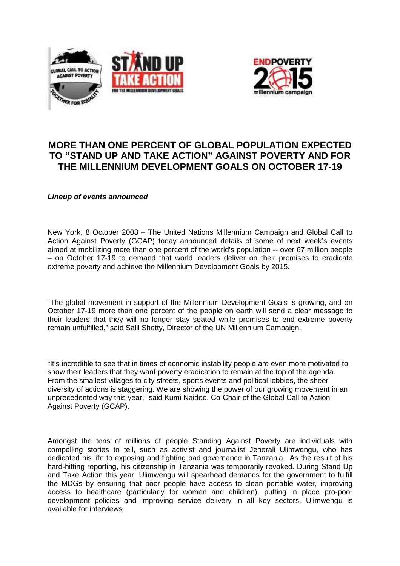



# **MORE THAN ONE PERCENT OF GLOBAL POPULATION EXPECTED TO "STAND UP AND TAKE ACTION" AGAINST POVERTY AND FOR THE MILLENNIUM DEVELOPMENT GOALS ON OCTOBER 17-19**

**Lineup of events announced** 

New York, 8 October 2008 – The United Nations Millennium Campaign and Global Call to Action Against Poverty (GCAP) today announced details of some of next week's events aimed at mobilizing more than one percent of the world's population -- over 67 million people – on October 17-19 to demand that world leaders deliver on their promises to eradicate extreme poverty and achieve the Millennium Development Goals by 2015.

"The global movement in support of the Millennium Development Goals is growing, and on October 17-19 more than one percent of the people on earth will send a clear message to their leaders that they will no longer stay seated while promises to end extreme poverty remain unfulfilled," said Salil Shetty, Director of the UN Millennium Campaign.

"It's incredible to see that in times of economic instability people are even more motivated to show their leaders that they want poverty eradication to remain at the top of the agenda. From the smallest villages to city streets, sports events and political lobbies, the sheer diversity of actions is staggering. We are showing the power of our growing movement in an unprecedented way this year," said Kumi Naidoo, Co-Chair of the Global Call to Action Against Poverty (GCAP).

Amongst the tens of millions of people Standing Against Poverty are individuals with compelling stories to tell, such as activist and journalist Jenerali Ulimwengu, who has dedicated his life to exposing and fighting bad governance in Tanzania. As the result of his hard-hitting reporting, his citizenship in Tanzania was temporarily revoked. During Stand Up and Take Action this year, Ulimwengu will spearhead demands for the government to fulfill the MDGs by ensuring that poor people have access to clean portable water, improving access to healthcare (particularly for women and children), putting in place pro-poor development policies and improving service delivery in all key sectors. Ulimwengu is available for interviews.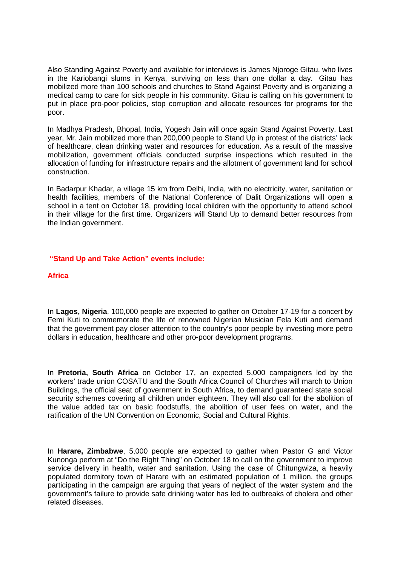Also Standing Against Poverty and available for interviews is James Njoroge Gitau, who lives in the Kariobangi slums in Kenya, surviving on less than one dollar a day. Gitau has mobilized more than 100 schools and churches to Stand Against Poverty and is organizing a medical camp to care for sick people in his community. Gitau is calling on his government to put in place pro-poor policies, stop corruption and allocate resources for programs for the poor.

In Madhya Pradesh, Bhopal, India, Yogesh Jain will once again Stand Against Poverty. Last year, Mr. Jain mobilized more than 200,000 people to Stand Up in protest of the districts' lack of healthcare, clean drinking water and resources for education. As a result of the massive mobilization, government officials conducted surprise inspections which resulted in the allocation of funding for infrastructure repairs and the allotment of government land for school construction.

In Badarpur Khadar, a village 15 km from Delhi, India, with no electricity, water, sanitation or health facilities, members of the National Conference of Dalit Organizations will open a school in a tent on October 18, providing local children with the opportunity to attend school in their village for the first time. Organizers will Stand Up to demand better resources from the Indian government.

# **"Stand Up and Take Action" events include:**

# **Africa**

In **Lagos, Nigeria**, 100,000 people are expected to gather on October 17-19 for a concert by Femi Kuti to commemorate the life of renowned Nigerian Musician Fela Kuti and demand that the government pay closer attention to the country's poor people by investing more petro dollars in education, healthcare and other pro-poor development programs.

In **Pretoria, South Africa** on October 17, an expected 5,000 campaigners led by the workers' trade union COSATU and the South Africa Council of Churches will march to Union Buildings, the official seat of government in South Africa, to demand guaranteed state social security schemes covering all children under eighteen. They will also call for the abolition of the value added tax on basic foodstuffs, the abolition of user fees on water, and the ratification of the UN Convention on Economic, Social and Cultural Rights.

In **Harare, Zimbabwe**, 5,000 people are expected to gather when Pastor G and Victor Kunonga perform at "Do the Right Thing" on October 18 to call on the government to improve service delivery in health, water and sanitation. Using the case of Chitungwiza, a heavily populated dormitory town of Harare with an estimated population of 1 million, the groups participating in the campaign are arguing that years of neglect of the water system and the government's failure to provide safe drinking water has led to outbreaks of cholera and other related diseases.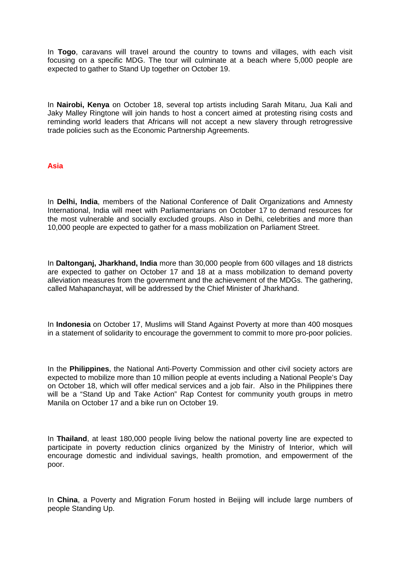In **Togo**, caravans will travel around the country to towns and villages, with each visit focusing on a specific MDG. The tour will culminate at a beach where 5,000 people are expected to gather to Stand Up together on October 19.

In **Nairobi, Kenya** on October 18, several top artists including Sarah Mitaru, Jua Kali and Jaky Malley Ringtone will join hands to host a concert aimed at protesting rising costs and reminding world leaders that Africans will not accept a new slavery through retrogressive trade policies such as the Economic Partnership Agreements.

# **Asia**

In **Delhi, India**, members of the National Conference of Dalit Organizations and Amnesty International, India will meet with Parliamentarians on October 17 to demand resources for the most vulnerable and socially excluded groups. Also in Delhi, celebrities and more than 10,000 people are expected to gather for a mass mobilization on Parliament Street.

In **Daltonganj, Jharkhand, India** more than 30,000 people from 600 villages and 18 districts are expected to gather on October 17 and 18 at a mass mobilization to demand poverty alleviation measures from the government and the achievement of the MDGs. The gathering, called Mahapanchayat, will be addressed by the Chief Minister of Jharkhand.

In **Indonesia** on October 17, Muslims will Stand Against Poverty at more than 400 mosques in a statement of solidarity to encourage the government to commit to more pro-poor policies.

In the **Philippines**, the National Anti-Poverty Commission and other civil society actors are expected to mobilize more than 10 million people at events including a National People's Day on October 18, which will offer medical services and a job fair. Also in the Philippines there will be a "Stand Up and Take Action" Rap Contest for community youth groups in metro Manila on October 17 and a bike run on October 19.

In **Thailand**, at least 180,000 people living below the national poverty line are expected to participate in poverty reduction clinics organized by the Ministry of Interior, which will encourage domestic and individual savings, health promotion, and empowerment of the poor.

In **China**, a Poverty and Migration Forum hosted in Beijing will include large numbers of people Standing Up.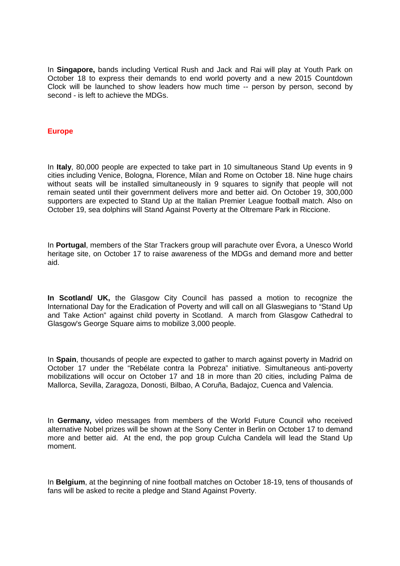In **Singapore,** bands including Vertical Rush and Jack and Rai will play at Youth Park on October 18 to express their demands to end world poverty and a new 2015 Countdown Clock will be launched to show leaders how much time -- person by person, second by second - is left to achieve the MDGs.

## **Europe**

In **Italy**, 80,000 people are expected to take part in 10 simultaneous Stand Up events in 9 cities including Venice, Bologna, Florence, Milan and Rome on October 18. Nine huge chairs without seats will be installed simultaneously in 9 squares to signify that people will not remain seated until their government delivers more and better aid. On October 19, 300,000 supporters are expected to Stand Up at the Italian Premier League football match. Also on October 19, sea dolphins will Stand Against Poverty at the Oltremare Park in Riccione.

In **Portugal**, members of the Star Trackers group will parachute over Évora, a Unesco World heritage site, on October 17 to raise awareness of the MDGs and demand more and better aid.

**In Scotland/ UK,** the Glasgow City Council has passed a motion to recognize the International Day for the Eradication of Poverty and will call on all Glaswegians to "Stand Up and Take Action" against child poverty in Scotland. A march from Glasgow Cathedral to Glasgow's George Square aims to mobilize 3,000 people.

In **Spain**, thousands of people are expected to gather to march against poverty in Madrid on October 17 under the "Rebélate contra la Pobreza" initiative. Simultaneous anti-poverty mobilizations will occur on October 17 and 18 in more than 20 cities, including Palma de Mallorca, Sevilla, Zaragoza, Donosti, Bilbao, A Coruña, Badajoz, Cuenca and Valencia.

In **Germany,** video messages from members of the World Future Council who received alternative Nobel prizes will be shown at the Sony Center in Berlin on October 17 to demand more and better aid. At the end, the pop group Culcha Candela will lead the Stand Up moment.

In **Belgium**, at the beginning of nine football matches on October 18-19, tens of thousands of fans will be asked to recite a pledge and Stand Against Poverty.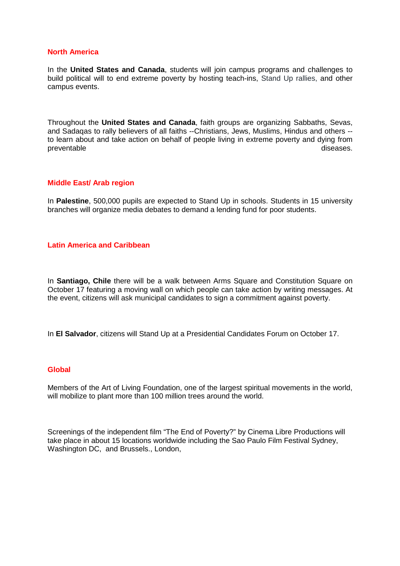## **North America**

In the **United States and Canada**, students will join campus programs and challenges to build political will to end extreme poverty by hosting teach-ins, Stand Up rallies, and other campus events.

Throughout the **United States and Canada**, faith groups are organizing Sabbaths, Sevas, and Sadaqas to rally believers of all faiths --Christians, Jews, Muslims, Hindus and others - to learn about and take action on behalf of people living in extreme poverty and dying from preventable diseases.

#### **Middle East/ Arab region**

In **Palestine**, 500,000 pupils are expected to Stand Up in schools. Students in 15 university branches will organize media debates to demand a lending fund for poor students.

# **Latin America and Caribbean**

In **Santiago, Chile** there will be a walk between Arms Square and Constitution Square on October 17 featuring a moving wall on which people can take action by writing messages. At the event, citizens will ask municipal candidates to sign a commitment against poverty.

In **El Salvador**, citizens will Stand Up at a Presidential Candidates Forum on October 17.

#### **Global**

Members of the Art of Living Foundation, one of the largest spiritual movements in the world, will mobilize to plant more than 100 million trees around the world.

Screenings of the independent film "The End of Poverty?" by Cinema Libre Productions will take place in about 15 locations worldwide including the Sao Paulo Film Festival Sydney, Washington DC, and Brussels., London,